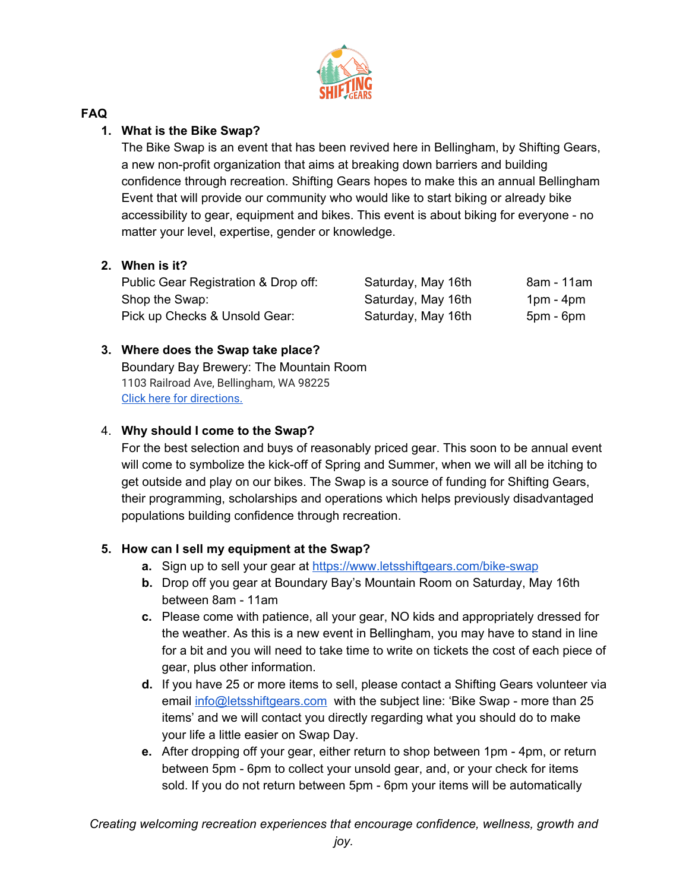

## **FAQ**

# **1. What is the Bike Swap?**

The Bike Swap is an event that has been revived here in Bellingham, by Shifting Gears, a new non-profit organization that aims at breaking down barriers and building confidence through recreation. Shifting Gears hopes to make this an annual Bellingham Event that will provide our community who would like to start biking or already bike accessibility to gear, equipment and bikes. This event is about biking for everyone - no matter your level, expertise, gender or knowledge.

# **2. When is it?**

| Public Gear Registration & Drop off: | Saturday, May 16th | 8am - 11am  |
|--------------------------------------|--------------------|-------------|
| Shop the Swap:                       | Saturday, May 16th | $1pm - 4pm$ |
| Pick up Checks & Unsold Gear:        | Saturday, May 16th | $5pm - 6pm$ |

# **3. Where does the Swap take place?**

Boundary Bay Brewery: The Mountain Room 1103 Railroad Ave, Bellingham, WA 98225 Click here for [directions.](https://www.google.com/maps/dir/)

# 4. **Why should I come to the Swap?**

For the best selection and buys of reasonably priced gear. This soon to be annual event will come to symbolize the kick-off of Spring and Summer, when we will all be itching to get outside and play on our bikes. The Swap is a source of funding for Shifting Gears, their programming, scholarships and operations which helps previously disadvantaged populations building confidence through recreation.

## **5. How can I sell my equipment at the Swap?**

- **a.** Sign up to sell your gear at <https://www.letsshiftgears.com/bike-swap>
- **b.** Drop off you gear at Boundary Bay's Mountain Room on Saturday, May 16th between 8am - 11am
- **c.** Please come with patience, all your gear, NO kids and appropriately dressed for the weather. As this is a new event in Bellingham, you may have to stand in line for a bit and you will need to take time to write on tickets the cost of each piece of gear, plus other information.
- **d.** If you have 25 or more items to sell, please contact a Shifting Gears volunteer via email [info@letsshiftgears.com](mailto:info@letsshiftgears.com) with the subject line: 'Bike Swap - more than 25 items' and we will contact you directly regarding what you should do to make your life a little easier on Swap Day.
- **e.** After dropping off your gear, either return to shop between 1pm 4pm, or return between 5pm - 6pm to collect your unsold gear, and, or your check for items sold. If you do not return between 5pm - 6pm your items will be automatically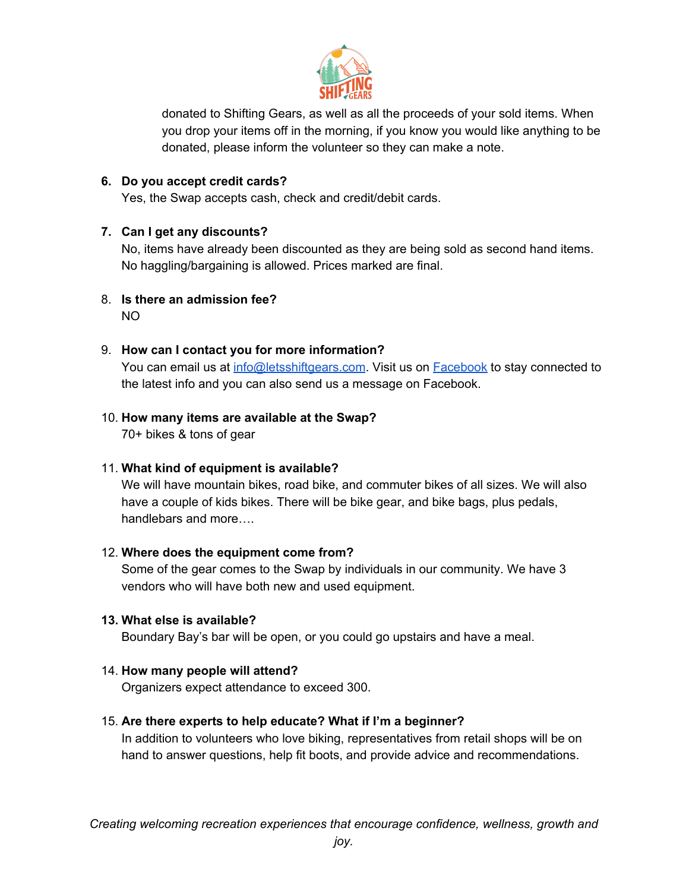

donated to Shifting Gears, as well as all the proceeds of your sold items. When you drop your items off in the morning, if you know you would like anything to be donated, please inform the volunteer so they can make a note.

### **6. Do you accept credit cards?**

Yes, the Swap accepts cash, check and credit/debit cards.

### **7. Can I get any discounts?**

No, items have already been discounted as they are being sold as second hand items. No haggling/bargaining is allowed. Prices marked are final.

8. **Is there an admission fee?** NO

### 9. **How can I contact you for more information?**

You can email us at [info@letsshiftgears.com](mailto:info@letsshiftgears.com). Visit us on [Facebook](https://www.facebook.com/letsshiftgears/) to stay connected to the latest info and you can also send us a message on Facebook.

# 10. **How many items are available at the Swap?**

70+ bikes & tons of gear

#### 11. **What kind of equipment is available?**

We will have mountain bikes, road bike, and commuter bikes of all sizes. We will also have a couple of kids bikes. There will be bike gear, and bike bags, plus pedals, handlebars and more….

#### 12. **Where does the equipment come from?**

Some of the gear comes to the Swap by individuals in our community. We have 3 vendors who will have both new and used equipment.

#### **13. What else is available?**

Boundary Bay's bar will be open, or you could go upstairs and have a meal.

## 14. **How many people will attend?**

Organizers expect attendance to exceed 300.

## 15. **Are there experts to help educate? What if I'm a beginner?**

In addition to volunteers who love biking, representatives from retail shops will be on hand to answer questions, help fit boots, and provide advice and recommendations.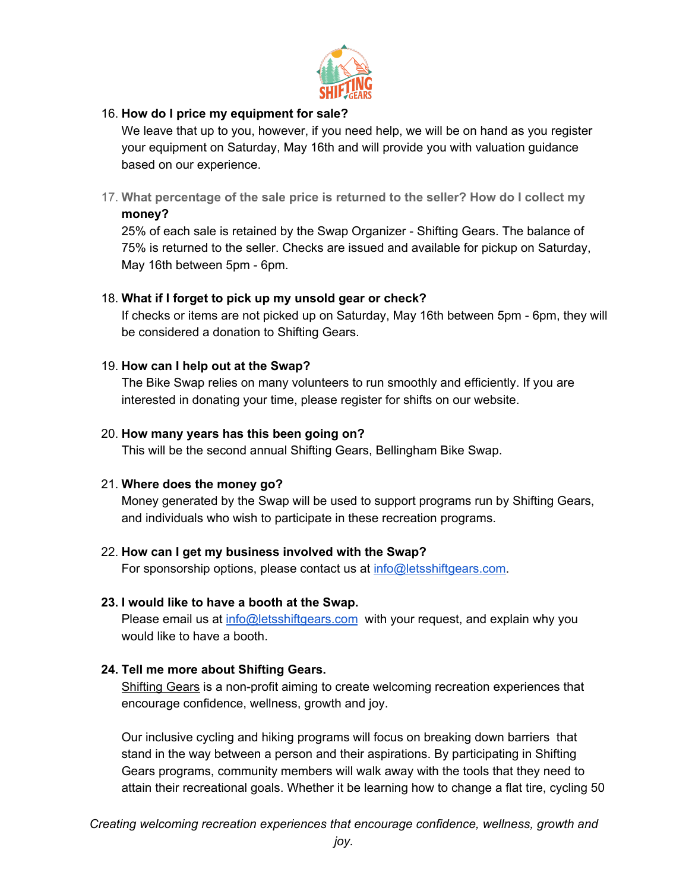

### 16. **How do I price my equipment for sale?**

We leave that up to you, however, if you need help, we will be on hand as you register your equipment on Saturday, May 16th and will provide you with valuation guidance based on our experience.

17. **What percentage of the sale price is returned to the seller? How do I collect my money?**

25% of each sale is retained by the Swap Organizer - Shifting Gears. The balance of 75% is returned to the seller. Checks are issued and available for pickup on Saturday, May 16th between 5pm - 6pm.

### 18. **What if I forget to pick up my unsold gear or check?**

If checks or items are not picked up on Saturday, May 16th between 5pm - 6pm, they will be considered a donation to Shifting Gears.

### 19. **How can I help out at the Swap?**

The Bike Swap relies on many volunteers to run smoothly and efficiently. If you are interested in donating your time, please register for shifts on our website.

### 20. **How many years has this been going on?**

This will be the second annual Shifting Gears, Bellingham Bike Swap.

## 21. **Where does the money go?**

Money generated by the Swap will be used to support programs run by Shifting Gears, and individuals who wish to participate in these recreation programs.

#### 22. **How can I get my business involved with the Swap?**

For sponsorship options, please contact us at [info@letsshiftgears.com.](mailto:info@letsshiftgears.com)

### **23. I would like to have a booth at the Swap.**

Please email us at [info@letsshiftgears.com](mailto:info@letsshiftgears.com) with your request, and explain why you would like to have a booth.

#### **24. Tell me more about Shifting Gears.**

[Shifting](https://www.letsshiftgears.com/) Gears is a non-profit aiming to create welcoming recreation experiences that encourage confidence, wellness, growth and joy.

Our inclusive cycling and hiking programs will focus on breaking down barriers that stand in the way between a person and their aspirations. By participating in Shifting Gears programs, community members will walk away with the tools that they need to attain their recreational goals. Whether it be learning how to change a flat tire, cycling 50